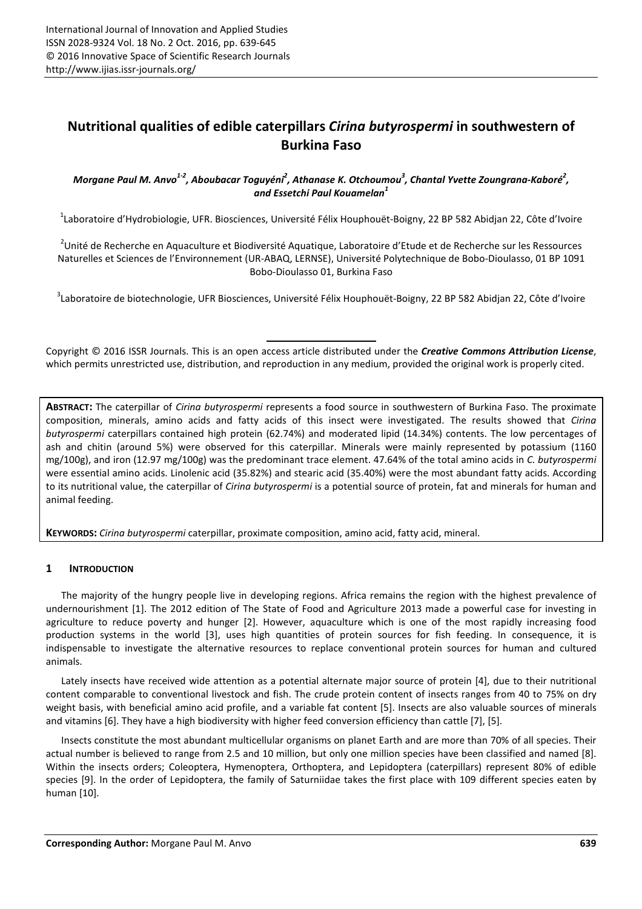# **Nutritional qualities of edible caterpillars** *Cirina butyrospermi* **in southwestern of Burkina Faso**

# Morgane Paul M. Anvo<sup>1-2</sup>, Aboubacar Toguyéni<sup>2</sup>, Athanase K. Otchoumou<sup>3</sup>, Chantal Yvette Zoungrana-Kaboré<sup>2</sup>, *and Essetchi Paul Kouamelan<sup>1</sup>*

<sup>1</sup>Laboratoire d'Hydrobiologie, UFR. Biosciences, Université Félix Houphouët-Boigny, 22 BP 582 Abidjan 22, Côte d'Ivoire

<sup>2</sup>Unité de Recherche en Aquaculture et Biodiversité Aquatique, Laboratoire d'Etude et de Recherche sur les Ressources Naturelles et Sciences de l'Environnement (UR-ABAQ, LERNSE), Université Polytechnique de Bobo-Dioulasso, 01 BP 1091 Bobo-Dioulasso 01, Burkina Faso

<sup>3</sup>Laboratoire de biotechnologie, UFR Biosciences, Université Félix Houphouët-Boigny, 22 BP 582 Abidjan 22, Côte d'Ivoire

Copyright © 2016 ISSR Journals. This is an open access article distributed under the *Creative Commons Attribution License*, which permits unrestricted use, distribution, and reproduction in any medium, provided the original work is properly cited.

**ABSTRACT:** The caterpillar of *Cirina butyrospermi* represents a food source in southwestern of Burkina Faso. The proximate composition, minerals, amino acids and fatty acids of this insect were investigated. The results showed that *Cirina butyrospermi* caterpillars contained high protein (62.74%) and moderated lipid (14.34%) contents. The low percentages of ash and chitin (around 5%) were observed for this caterpillar. Minerals were mainly represented by potassium (1160 mg/100g), and iron (12.97 mg/100g) was the predominant trace element. 47.64% of the total amino acids in *C. butyrospermi* were essential amino acids. Linolenic acid (35.82%) and stearic acid (35.40%) were the most abundant fatty acids. According to its nutritional value, the caterpillar of *Cirina butyrospermi* is a potential source of protein, fat and minerals for human and animal feeding.

**KEYWORDS:** *Cirina butyrospermi* caterpillar, proximate composition, amino acid, fatty acid, mineral.

# **1 INTRODUCTION**

The majority of the hungry people live in developing regions. Africa remains the region with the highest prevalence of undernourishment [1]. The 2012 edition of The State of Food and Agriculture 2013 made a powerful case for investing in agriculture to reduce poverty and hunger [2]. However, aquaculture which is one of the most rapidly increasing food production systems in the world [3], uses high quantities of protein sources for fish feeding. In consequence, it is indispensable to investigate the alternative resources to replace conventional protein sources for human and cultured animals.

Lately insects have received wide attention as a potential alternate major source of protein [4], due to their nutritional content comparable to conventional livestock and fish. The crude protein content of insects ranges from 40 to 75% on dry weight basis, with beneficial amino acid profile, and a variable fat content [5]. Insects are also valuable sources of minerals and vitamins [6]. They have a high biodiversity with higher feed conversion efficiency than cattle [7], [5].

Insects constitute the most abundant multicellular organisms on planet Earth and are more than 70% of all species. Their actual number is believed to range from 2.5 and 10 million, but only one million species have been classified and named [8]. Within the insects orders; Coleoptera, Hymenoptera, Orthoptera, and Lepidoptera (caterpillars) represent 80% of edible species [9]. In the order of Lepidoptera, the family of Saturniidae takes the first place with 109 different species eaten by human [10].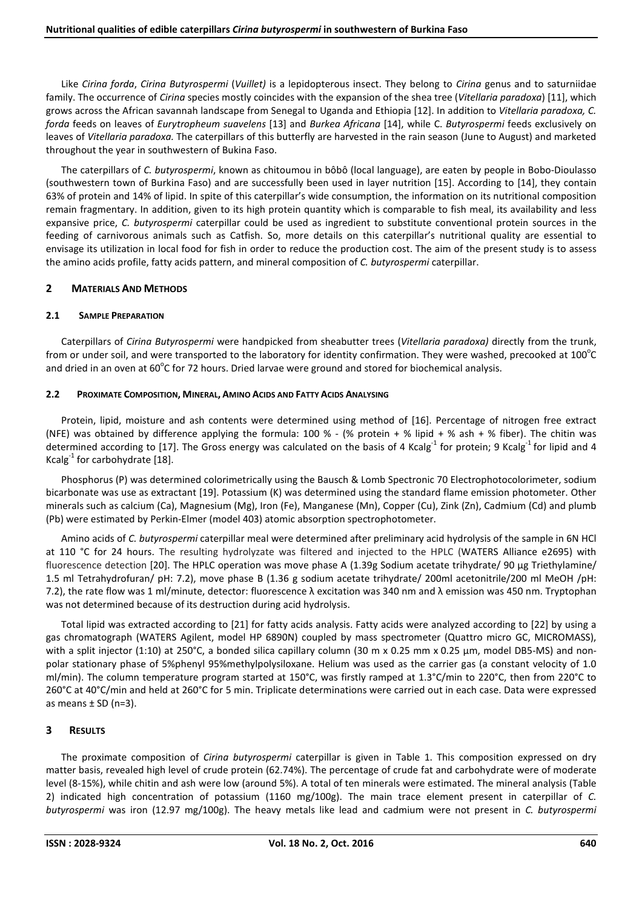Like *Cirina forda*, *Cirina Butyrospermi* (*Vuillet)* is a lepidopterous insect. They belong to *Cirina* genus and to saturniidae family. The occurrence of *Cirina* species mostly coincides with the expansion of the shea tree (*Vitellaria paradoxa*) [11], which grows across the African savannah landscape from Senegal to Uganda and Ethiopia [12]. In addition to *Vitellaria paradoxa, C. forda* feeds on leaves of *Eurytropheum suavelens* [13] and *Burkea Africana* [14], while C. *Butyrospermi* feeds exclusively on leaves of *Vitellaria paradoxa.* The caterpillars of this butterfly are harvested in the rain season (June to August) and marketed throughout the year in southwestern of Bukina Faso.

The caterpillars of *C. butyrospermi*, known as chitoumou in bôbô (local language), are eaten by people in Bobo-Dioulasso (southwestern town of Burkina Faso) and are successfully been used in layer nutrition [15]. According to [14], they contain 63% of protein and 14% of lipid. In spite of this caterpillar's wide consumption, the information on its nutritional composition remain fragmentary. In addition, given to its high protein quantity which is comparable to fish meal, its availability and less expansive price, *C. butyrospermi* caterpillar could be used as ingredient to substitute conventional protein sources in the feeding of carnivorous animals such as Catfish. So, more details on this caterpillar's nutritional quality are essential to envisage its utilization in local food for fish in order to reduce the production cost. The aim of the present study is to assess the amino acids profile, fatty acids pattern, and mineral composition of *C. butyrospermi* caterpillar.

# **2 MATERIALS AND METHODS**

### **2.1 SAMPLE PREPARATION**

Caterpillars of *Cirina Butyrospermi* were handpicked from sheabutter trees (*Vitellaria paradoxa)* directly from the trunk, from or under soil, and were transported to the laboratory for identity confirmation. They were washed, precooked at 100 $^{\circ}$ C and dried in an oven at 60 $\rm ^oC$  for 72 hours. Dried larvae were ground and stored for biochemical analysis.

### **2.2 PROXIMATE COMPOSITION, MINERAL, AMINO ACIDS AND FATTY ACIDS ANALYSING**

Protein, lipid, moisture and ash contents were determined using method of [16]. Percentage of nitrogen free extract (NFE) was obtained by difference applying the formula: 100 % - (% protein + % lipid + % ash + % fiber). The chitin was determined according to [17]. The Gross energy was calculated on the basis of 4 Kcalg<sup>-1</sup> for protein; 9 Kcalg<sup>-1</sup> for lipid and 4 Kcalg $^{-1}$  for carbohydrate [18].

Phosphorus (P) was determined colorimetrically using the Bausch & Lomb Spectronic 70 Electrophotocolorimeter, sodium bicarbonate was use as extractant [19]. Potassium (K) was determined using the standard flame emission photometer. Other minerals such as calcium (Ca), Magnesium (Mg), Iron (Fe), Manganese (Mn), Copper (Cu), Zink (Zn), Cadmium (Cd) and plumb (Pb) were estimated by Perkin-Elmer (model 403) atomic absorption spectrophotometer.

Amino acids of *C. butyrospermi* caterpillar meal were determined after preliminary acid hydrolysis of the sample in 6N HCl at 110 °C for 24 hours. The resulting hydrolyzate was filtered and injected to the HPLC (WATERS Alliance e2695) with fluorescence detection [20]. The HPLC operation was move phase A (1.39g Sodium acetate trihydrate/ 90 µg Triethylamine/ 1.5 ml Tetrahydrofuran/ pH: 7.2), move phase B (1.36 g sodium acetate trihydrate/ 200ml acetonitrile/200 ml MeOH /pH: 7.2), the rate flow was 1 ml/minute, detector: fluorescence λ excitation was 340 nm and λ emission was 450 nm. Tryptophan was not determined because of its destruction during acid hydrolysis.

Total lipid was extracted according to [21] for fatty acids analysis. Fatty acids were analyzed according to [22] by using a gas chromatograph (WATERS Agilent, model HP 6890N) coupled by mass spectrometer (Quattro micro GC, MICROMASS), with a split injector (1:10) at 250°C, a bonded silica capillary column (30 m x 0.25 mm x 0.25 µm, model DB5-MS) and nonpolar stationary phase of 5%phenyl 95%methylpolysiloxane. Helium was used as the carrier gas (a constant velocity of 1.0 ml/min). The column temperature program started at 150°C, was firstly ramped at 1.3°C/min to 220°C, then from 220°C to 260°C at 40°C/min and held at 260°C for 5 min. Triplicate determinations were carried out in each case. Data were expressed as means  $\pm$  SD (n=3).

# **3 RESULTS**

The proximate composition of *Cirina butyrospermi* caterpillar is given in Table 1. This composition expressed on dry matter basis, revealed high level of crude protein (62.74%). The percentage of crude fat and carbohydrate were of moderate level (8-15%), while chitin and ash were low (around 5%). A total of ten minerals were estimated. The mineral analysis (Table 2) indicated high concentration of potassium (1160 mg/100g). The main trace element present in caterpillar of *C. butyrospermi* was iron (12.97 mg/100g). The heavy metals like lead and cadmium were not present in *C. butyrospermi*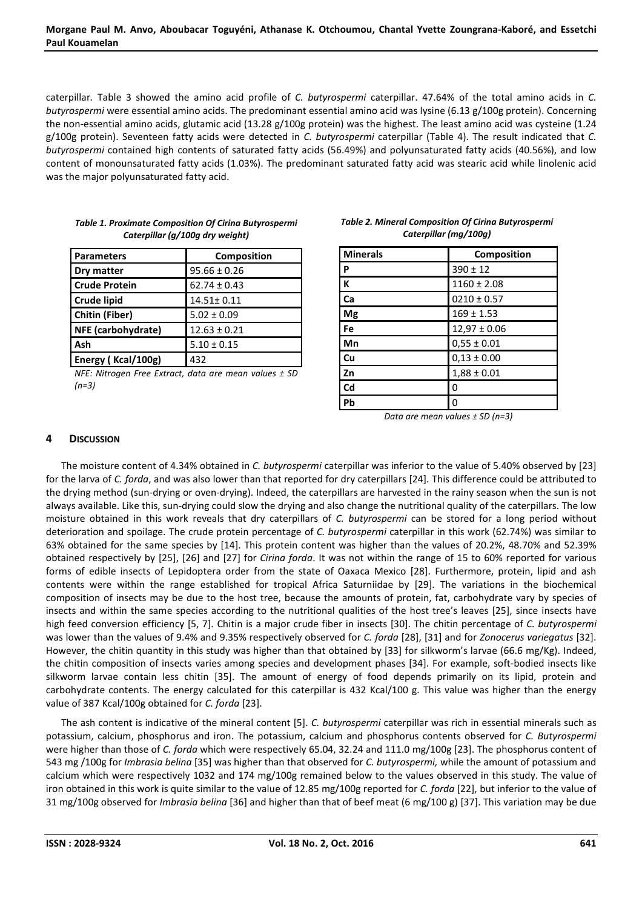caterpillar*.* Table 3 showed the amino acid profile of *C. butyrospermi* caterpillar. 47.64% of the total amino acids in *C. butyrospermi* were essential amino acids. The predominant essential amino acid was lysine (6.13 g/100g protein). Concerning the non-essential amino acids, glutamic acid (13.28 g/100g protein) was the highest. The least amino acid was cysteine (1.24 g/100g protein). Seventeen fatty acids were detected in *C. butyrospermi* caterpillar (Table 4). The result indicated that *C. butyrospermi* contained high contents of saturated fatty acids (56.49%) and polyunsaturated fatty acids (40.56%), and low content of monounsaturated fatty acids (1.03%). The predominant saturated fatty acid was stearic acid while linolenic acid was the major polyunsaturated fatty acid.

| <b>Parameters</b>    | Composition      |
|----------------------|------------------|
| Dry matter           | $95.66 \pm 0.26$ |
| <b>Crude Protein</b> | $62.74 \pm 0.43$ |
| <b>Crude lipid</b>   | $14.51 \pm 0.11$ |
| Chitin (Fiber)       | $5.02 \pm 0.09$  |
| NFE (carbohydrate)   | $12.63 \pm 0.21$ |
| Ash                  | $5.10 \pm 0.15$  |
| Energy (Kcal/100g)   | 432              |

| <b>Table 1. Proximate Composition Of Cirina Butyrospermi</b> |
|--------------------------------------------------------------|
| Caterpillar (g/100g dry weight)                              |

*NFE: Nitrogen Free Extract, data are mean values ± SD (n=3)*

| <b>Minerals</b> | Composition      |
|-----------------|------------------|
| P               | $390 \pm 12$     |
| K               | $1160 \pm 2.08$  |
| Ca              | $0210 \pm 0.57$  |
| Mg              | $169 \pm 1.53$   |
| Fe              | $12,97 \pm 0.06$ |
| Mn              | $0,55 \pm 0.01$  |
| Cu              | $0,13 \pm 0.00$  |
| Zn              | $1,88 \pm 0.01$  |
| Cd              | 0                |
| Pb              | ŋ                |

#### *Table 2. Mineral Composition Of Cirina Butyrospermi Caterpillar (mg/100g)*

*Data are mean values ± SD (n=3)* 

# **4 DISCUSSION**

The moisture content of 4.34% obtained in *C. butyrospermi* caterpillar was inferior to the value of 5.40% observed by [23] for the larva of *C. forda*, and was also lower than that reported for dry caterpillars [24]. This difference could be attributed to the drying method (sun-drying or oven-drying). Indeed, the caterpillars are harvested in the rainy season when the sun is not always available. Like this, sun-drying could slow the drying and also change the nutritional quality of the caterpillars. The low moisture obtained in this work reveals that dry caterpillars of *C. butyrospermi* can be stored for a long period without deterioration and spoilage. The crude protein percentage of *C. butyrospermi* caterpillar in this work (62.74%) was similar to 63% obtained for the same species by [14]. This protein content was higher than the values of 20.2%, 48.70% and 52.39% obtained respectively by [25], [26] and [27] for *Cirina forda*. It was not within the range of 15 to 60% reported for various forms of edible insects of Lepidoptera order from the state of Oaxaca Mexico [28]. Furthermore, protein, lipid and ash contents were within the range established for tropical Africa Saturniidae by [29]. The variations in the biochemical composition of insects may be due to the host tree, because the amounts of protein, fat, carbohydrate vary by species of insects and within the same species according to the nutritional qualities of the host tree's leaves [25], since insects have high feed conversion efficiency [5, 7]. Chitin is a major crude fiber in insects [30]. The chitin percentage of *C. butyrospermi* was lower than the values of 9.4% and 9.35% respectively observed for *C. forda* [28], [31] and for *Zonocerus variegatus* [32]. However, the chitin quantity in this study was higher than that obtained by [33] for silkworm's larvae (66.6 mg/Kg). Indeed, the chitin composition of insects varies among species and development phases [34]. For example, soft-bodied insects like silkworm larvae contain less chitin [35]. The amount of energy of food depends primarily on its lipid, protein and carbohydrate contents. The energy calculated for this caterpillar is 432 Kcal/100 g. This value was higher than the energy value of 387 Kcal/100g obtained for *C. forda* [23].

The ash content is indicative of the mineral content [5]. *C. butyrospermi* caterpillar was rich in essential minerals such as potassium, calcium, phosphorus and iron. The potassium, calcium and phosphorus contents observed for *C. Butyrospermi*  were higher than those of *C. forda* which were respectively 65.04, 32.24 and 111.0 mg/100g [23]. The phosphorus content of 543 mg /100g for *Imbrasia belina* [35] was higher than that observed for *C. butyrospermi,* while the amount of potassium and calcium which were respectively 1032 and 174 mg/100g remained below to the values observed in this study. The value of iron obtained in this work is quite similar to the value of 12.85 mg/100g reported for *C. forda* [22], but inferior to the value of 31 mg/100g observed for *Imbrasia belina* [36] and higher than that of beef meat (6 mg/100 g) [37]. This variation may be due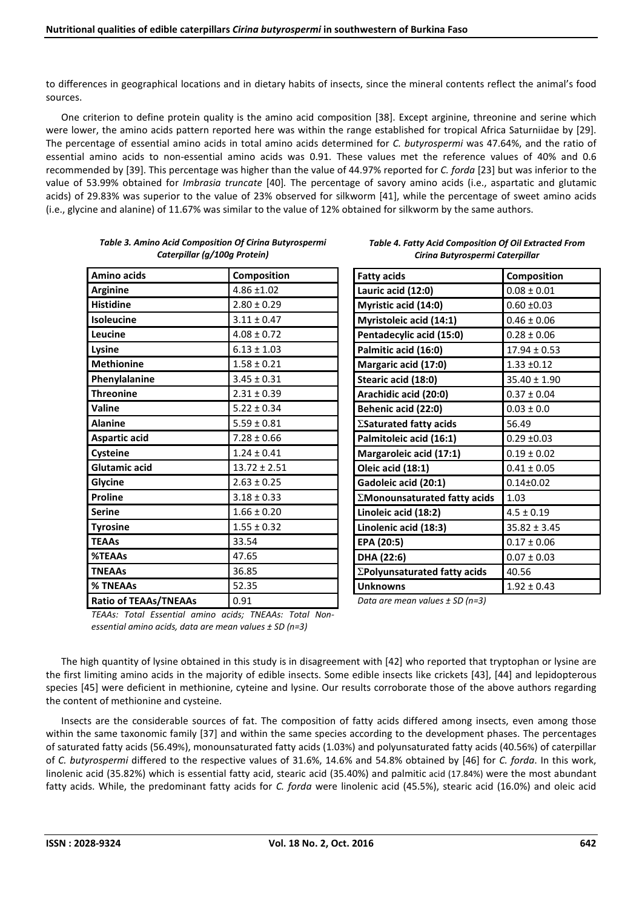to differences in geographical locations and in dietary habits of insects, since the mineral contents reflect the animal's food sources.

One criterion to define protein quality is the amino acid composition [38]. Except arginine, threonine and serine which were lower, the amino acids pattern reported here was within the range established for tropical Africa Saturniidae by [29]. The percentage of essential amino acids in total amino acids determined for *C. butyrospermi* was 47.64%, and the ratio of essential amino acids to non-essential amino acids was 0.91. These values met the reference values of 40% and 0.6 recommended by [39]. This percentage was higher than the value of 44.97% reported for *C. forda* [23] but was inferior to the value of 53.99% obtained for *Imbrasia truncate* [40]*.* The percentage of savory amino acids (i.e., aspartatic and glutamic acids) of 29.83% was superior to the value of 23% observed for silkworm [41], while the percentage of sweet amino acids (i.e., glycine and alanine) of 11.67% was similar to the value of 12% obtained for silkworm by the same authors.

| <b>Amino acids</b>           | <b>Composition</b>                          |
|------------------------------|---------------------------------------------|
| <b>Arginine</b>              | $4.86 \pm 1.02$                             |
| <b>Histidine</b>             | $2.80 \pm 0.29$                             |
| Isoleucine                   | $3.11 \pm 0.47$                             |
| Leucine                      | $4.08 \pm 0.72$                             |
| Lysine                       | $6.13 \pm 1.03$                             |
| <b>Methionine</b>            | $1.58 \pm 0.21$                             |
| Phenylalanine                | $3.45 \pm 0.31$                             |
| <b>Threonine</b>             | $2.31 \pm 0.39$                             |
| Valine                       | $5.22 \pm 0.34$                             |
| <b>Alanine</b>               | $5.59 \pm 0.81$                             |
| <b>Aspartic acid</b>         | $7.28 \pm 0.66$                             |
| Cysteine                     | $1.24 \pm 0.41$                             |
| Glutamic acid                | $13.72 \pm 2.51$                            |
| Glycine                      | $2.63 \pm 0.25$                             |
| <b>Proline</b>               | $3.18 \pm 0.33$                             |
| <b>Serine</b>                | $1.66 \pm 0.20$                             |
| <b>Tyrosine</b>              | $1.55 \pm 0.32$                             |
| <b>TEAAs</b>                 | 33.54                                       |
| %TEAAs                       | 47.65                                       |
| <b>TNEAAs</b>                | 36.85                                       |
| % TNEAAs                     | 52.35                                       |
| <b>Ratio of TEAAs/TNEAAs</b> | 0.91                                        |
|                              | $\cdot$ $\cdot$<br>$ \cdot$<br>$\mathbf{r}$ |

| Table 3. Amino Acid Composition Of Cirina Butyrospermi |  |
|--------------------------------------------------------|--|
| Caterpillar (g/100g Protein)                           |  |

| <b>Fatty acids</b>                   | Composition      |
|--------------------------------------|------------------|
| Lauric acid (12:0)                   | $0.08 \pm 0.01$  |
| Myristic acid (14:0)                 | $0.60 + 0.03$    |
| Myristoleic acid (14:1)              | $0.46 \pm 0.06$  |
| Pentadecylic acid (15:0)             | $0.28 \pm 0.06$  |
| Palmitic acid (16:0)                 | $17.94 \pm 0.53$ |
| Margaric acid (17:0)                 | $1.33 + 0.12$    |
| Stearic acid (18:0)                  | $35.40 \pm 1.90$ |
| Arachidic acid (20:0)                | $0.37 \pm 0.04$  |
| Behenic acid (22:0)                  | $0.03 \pm 0.0$   |
| $\Sigma$ Saturated fatty acids       | 56.49            |
| Palmitoleic acid (16:1)              | $0.29 + 0.03$    |
| Margaroleic acid (17:1)              | $0.19 \pm 0.02$  |
| Oleic acid (18:1)                    | $0.41 \pm 0.05$  |
| Gadoleic acid (20:1)                 | $0.14 \pm 0.02$  |
| $\Sigma$ Monounsaturated fatty acids | 1.03             |
| Linoleic acid (18:2)                 | $4.5 \pm 0.19$   |
| Linolenic acid (18:3)                | $35.82 \pm 3.45$ |
| EPA (20:5)                           | $0.17 \pm 0.06$  |
| DHA (22:6)                           | $0.07 \pm 0.03$  |
| $\Sigma$ Polyunsaturated fatty acids | 40.56            |
| <b>Unknowns</b>                      | $1.92 \pm 0.43$  |

*Table 4. Fatty Acid Composition Of Oil Extracted From Cirina Butyrospermi Caterpillar*

*Data are mean values ± SD (n=3)*

*TEAAs: Total Essential amino acids; TNEAAs: Total Nonessential amino acids, data are mean values ± SD (n=3)*

The high quantity of lysine obtained in this study is in disagreement with [42] who reported that tryptophan or lysine are the first limiting amino acids in the majority of edible insects. Some edible insects like crickets [43], [44] and lepidopterous species [45] were deficient in methionine, cyteine and lysine. Our results corroborate those of the above authors regarding the content of methionine and cysteine.

Insects are the considerable sources of fat. The composition of fatty acids differed among insects, even among those within the same taxonomic family [37] and within the same species according to the development phases. The percentages of saturated fatty acids (56.49%), monounsaturated fatty acids (1.03%) and polyunsaturated fatty acids (40.56%) of caterpillar of *C. butyrospermi* differed to the respective values of 31.6%, 14.6% and 54.8% obtained by [46] for *C. forda*. In this work, linolenic acid (35.82%) which is essential fatty acid, stearic acid (35.40%) and palmitic acid (17.84%) were the most abundant fatty acids. While, the predominant fatty acids for *C. forda* were linolenic acid (45.5%), stearic acid (16.0%) and oleic acid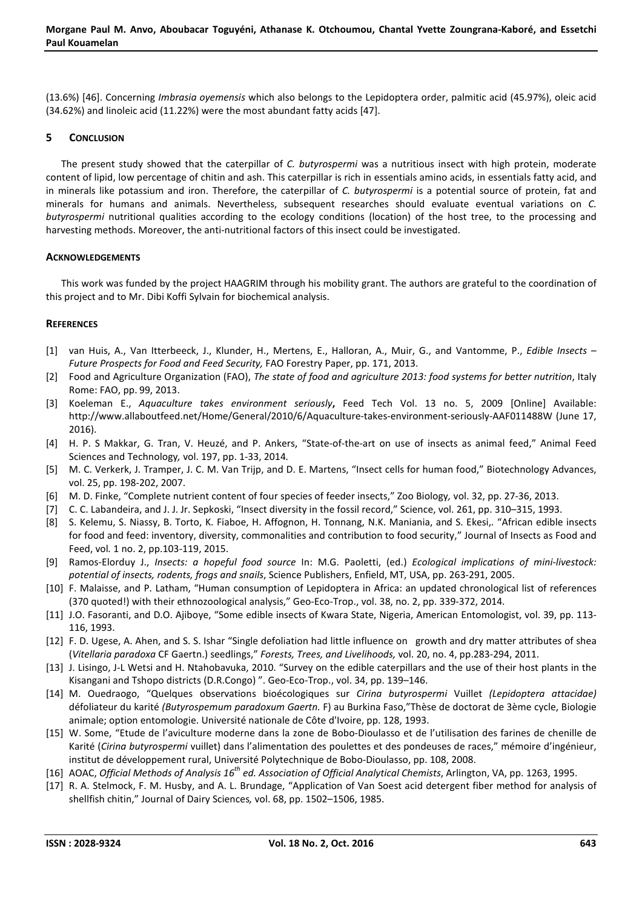(13.6%) [46]. Concerning *Imbrasia oyemensis* which also belongs to the Lepidoptera order, palmitic acid (45.97%), oleic acid (34.62%) and linoleic acid (11.22%) were the most abundant fatty acids [47].

#### **5 CONCLUSION**

The present study showed that the caterpillar of *C. butyrospermi* was a nutritious insect with high protein, moderate content of lipid, low percentage of chitin and ash. This caterpillar is rich in essentials amino acids, in essentials fatty acid, and in minerals like potassium and iron. Therefore, the caterpillar of *C. butyrospermi* is a potential source of protein, fat and minerals for humans and animals. Nevertheless, subsequent researches should evaluate eventual variations on *C. butyrospermi* nutritional qualities according to the ecology conditions (location) of the host tree, to the processing and harvesting methods. Moreover, the anti-nutritional factors of this insect could be investigated.

#### **ACKNOWLEDGEMENTS**

This work was funded by the project HAAGRIM through his mobility grant. The authors are grateful to the coordination of this project and to Mr. Dibi Koffi Sylvain for biochemical analysis.

#### **REFERENCES**

- [1] van Huis, A., Van Itterbeeck, J., Klunder, H., Mertens, E., Halloran, A., Muir, G., and Vantomme, P., *Edible Insects Future Prospects for Food and Feed Security,* FAO Forestry Paper, pp. 171, 2013.
- [2] Food and Agriculture Organization (FAO), *The state of food and agriculture 2013: food systems for better nutrition*, Italy Rome: FAO, pp. 99, 2013.
- [3] Koeleman E., *Aquaculture takes environment seriously***,** Feed Tech Vol. 13 no. 5, 2009 [Online] Available: http://www.allaboutfeed.net/Home/General/2010/6/Aquaculture-takes-environment-seriously-AAF011488W (June 17, 2016).
- [4] H. P. S Makkar, G. Tran, V. Heuzé, and P. Ankers, "State-of-the-art on use of insects as animal feed," Animal Feed Sciences and Technology*,* vol. 197, pp. 1-33, 2014*.*
- [5] M. C. Verkerk, J. Tramper, J. C. M. Van Trijp, and D. E. Martens, "Insect cells for human food," Biotechnology Advances, vol. 25, pp. 198-202, 2007.
- [6] M. D. Finke, "Complete nutrient content of four species of feeder insects," Zoo Biology*,* vol. 32, pp. 27-36, 2013.
- [7] C. C. Labandeira, and J. J. Jr. Sepkoski, "Insect diversity in the fossil record," Science, vol. 261, pp. 310–315, 1993.
- [8] S. Kelemu, S. Niassy, B. Torto, K. Fiaboe, H. Affognon, H. Tonnang, N.K. Maniania, and S. Ekesi,*.* "African edible insects for food and feed: inventory, diversity, commonalities and contribution to food security," Journal of Insects as Food and Feed, vol*.* 1 no. 2, pp.103-119, 2015.
- [9] Ramos-Elorduy J., *Insects: a hopeful food source* In: M.G. Paoletti, (ed.) *Ecological implications of mini-livestock: potential of insects, rodents, frogs and snails*, Science Publishers, Enfield, MT, USA, pp. 263-291, 2005.
- [10] F. Malaisse, and P. Latham, "Human consumption of Lepidoptera in Africa: an updated chronological list of references (370 quoted!) with their ethnozoological analysis," Geo-Eco-Trop., vol. 38, no. 2, pp. 339-372, 2014.
- [11] J.O. Fasoranti, and D.O. Ajiboye, "Some edible insects of Kwara State, Nigeria, American Entomologist, vol. 39, pp. 113- 116, 1993.
- [12] F. D. Ugese, A. Ahen, and S. S. Ishar "Single defoliation had little influence on growth and dry matter attributes of shea (*Vitellaria paradoxa* CF Gaertn.) seedlings," *Forests, Trees, and Livelihoods,* vol. 20, no. 4, pp.283-294, 2011.
- [13] J. Lisingo, J-L Wetsi and H. Ntahobavuka, 2010. "Survey on the edible caterpillars and the use of their host plants in the Kisangani and Tshopo districts (D.R.Congo) ". Geo-Eco-Trop., vol. 34, pp. 139–146.
- [14] M. Ouedraogo, "Quelques observations bioécologiques sur *Cirina butyrospermi* Vuillet *(Lepidoptera attacidae)*  défoliateur du karité *(Butyrospemum paradoxum Gaertn.* F) au Burkina Faso,"Thèse de doctorat de 3ème cycle, Biologie animale; option entomologie. Université nationale de Côte d'Ivoire, pp. 128, 1993.
- [15] W. Some, "Etude de l'aviculture moderne dans la zone de Bobo-Dioulasso et de l'utilisation des farines de chenille de Karité (*Cirina butyrospermi* vuillet) dans l'alimentation des poulettes et des pondeuses de races," mémoire d'ingénieur, institut de développement rural, Université Polytechnique de Bobo-Dioulasso, pp. 108, 2008.
- [16] AOAC, *Official Methods of Analysis 16th ed. Association of Official Analytical Chemists*, Arlington, VA, pp. 1263, 1995.
- [17] R. A. Stelmock, F. M. Husby, and A. L. Brundage, "Application of Van Soest acid detergent fiber method for analysis of shellfish chitin," Journal of Dairy Sciences*,* vol. 68, pp. 1502–1506, 1985.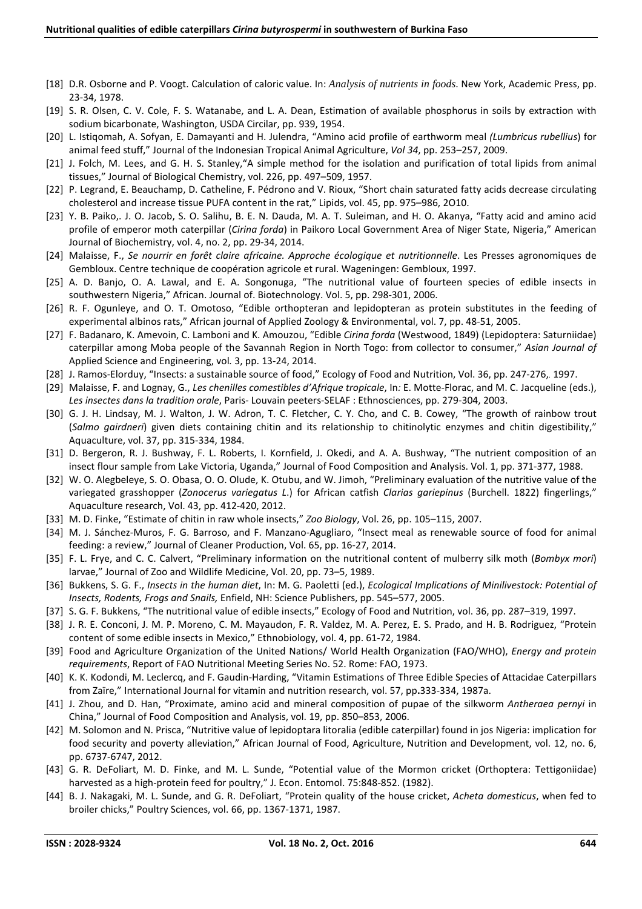- [18] D.R. Osborne and P. Voogt. Calculation of caloric value. In: *Analysis of nutrients in foods*. New York, Academic Press, pp. 23-34, 1978.
- [19] S. R. Olsen, C. V. Cole, F. S. Watanabe, and L. A. Dean, Estimation of available phosphorus in soils by extraction with sodium bicarbonate, Washington, USDA Circilar, pp. 939, 1954.
- [20] L. Istiqomah, A. Sofyan, E. Damayanti and H. Julendra, "Amino acid profile of earthworm meal *(Lumbricus rubellius*) for animal feed stuff," Journal of the Indonesian Tropical Animal Agriculture, *Vol 34*, pp. 253–257, 2009.
- [21] J. Folch, M. Lees, and G. H. S. Stanley,"A simple method for the isolation and purification of total lipids from animal tissues," Journal of Biological Chemistry, vol. 226, pp. 497–509, 1957.
- [22] P. Legrand, E. Beauchamp, D. Catheline, F. Pédrono and V. Rioux, "Short chain saturated fatty acids decrease circulating cholesterol and increase tissue PUFA content in the rat," Lipids, vol. 45, pp. 975–986, 2O10.
- [23] Y. B. Paiko,. J. O. Jacob, S. O. Salihu, B. E. N. Dauda, M. A. T. Suleiman, and H. O. Akanya, "Fatty acid and amino acid profile of emperor moth caterpillar (*Cirina forda*) in Paikoro Local Government Area of Niger State, Nigeria," American Journal of Biochemistry, vol. 4, no. 2, pp. 29-34, 2014.
- [24] Malaisse, F., *Se nourrir en forêt claire africaine. Approche écologique et nutritionnelle*. Les Presses agronomiques de Gembloux. Centre technique de coopération agricole et rural. Wageningen: Gembloux, 1997.
- [25] A. D. Banjo, O. A. Lawal, and E. A. Songonuga, "The nutritional value of fourteen species of edible insects in southwestern Nigeria," African. Journal of. Biotechnology. Vol. 5, pp. 298-301, 2006.
- [26] R. F. Ogunleye, and O. T. Omotoso, "Edible orthopteran and lepidopteran as protein substitutes in the feeding of experimental albinos rats," African journal of Applied Zoology & Environmental, vol. 7, pp. 48-51, 2005.
- [27] F. Badanaro, K. Amevoin, C. Lamboni and K. Amouzou, "Edible *Cirina forda* (Westwood, 1849) (Lepidoptera: Saturniidae) caterpillar among Moba people of the Savannah Region in North Togo: from collector to consumer," *Asian Journal of*  Applied Science and Engineering, vol*.* 3, pp. 13-24, 2014.
- [28] J. Ramos-Elorduy, "Insects: a sustainable source of food," Ecology of Food and Nutrition, Vol. 36, pp. 247-276,. 1997.
- [29] Malaisse, F. and Lognay, G., *Les chenilles comestibles d'Afrique tropicale*, In*:* E. Motte-Florac, and M. C. Jacqueline (eds.), *Les insectes dans la tradition orale*, Paris- Louvain peeters-SELAF : Ethnosciences, pp. 279-304, 2003.
- [30] G. J. H. Lindsay, M. J. Walton, J. W. Adron, T. C. Fletcher, C. Y. Cho, and C. B. Cowey, "The growth of rainbow trout (*Salmo gairdneri*) given diets containing chitin and its relationship to chitinolytic enzymes and chitin digestibility," Aquaculture, vol. 37, pp. 315-334, 1984.
- [31] D. Bergeron, R. J. Bushway, F. L. Roberts, I. Kornfield, J. Okedi, and A. A. Bushway, "The nutrient composition of an insect flour sample from Lake Victoria, Uganda," Journal of Food Composition and Analysis. Vol. 1, pp. 371-377, 1988.
- [32] W. O. Alegbeleye, S. O. Obasa, O. O. Olude, K. Otubu, and W. Jimoh, "Preliminary evaluation of the nutritive value of the variegated grasshopper (*Zonocerus variegatus L*.) for African catfish *Clarias gariepinus* (Burchell. 1822) fingerlings," Aquaculture research, Vol. 43, pp. 412-420, 2012.
- [33] M. D. Finke, "Estimate of chitin in raw whole insects," *Zoo Biology*, Vol. 26, pp. 105–115, 2007.
- [34] M. J. Sánchez-Muros, F. G. Barroso, and F. Manzano-Agugliaro, "Insect meal as renewable source of food for animal feeding: a review," Journal of Cleaner Production, Vol. 65, pp. 16-27, 2014.
- [35] F. L. Frye, and C. C. Calvert, "Preliminary information on the nutritional content of mulberry silk moth (*Bombyx mori*) larvae," Journal of Zoo and Wildlife Medicine, Vol. 20, pp. 73–5, 1989.
- [36] Bukkens, S. G. F., *Insects in the human diet*, In: M. G. Paoletti (ed.), *Ecological Implications of Minilivestock: Potential of Insects, Rodents, Frogs and Snails,* Enfield, NH: Science Publishers, pp. 545–577, 2005.
- [37] S. G. F. Bukkens, "The nutritional value of edible insects," Ecology of Food and Nutrition, vol. 36, pp. 287–319, 1997.
- [38] J. R. E. Conconi, J. M. P. Moreno, C. M. Mayaudon, F. R. Valdez, M. A. Perez, E. S. Prado, and H. B. Rodriguez, "Protein content of some edible insects in Mexico," Ethnobiology, vol. 4, pp. 61-72, 1984.
- [39] Food and Agriculture Organization of the United Nations/ World Health Organization (FAO/WHO), *Energy and protein requirements*, Report of FAO Nutritional Meeting Series No. 52. Rome: FAO, 1973.
- [40] K. K. Kodondi, M. Leclercq, and F. Gaudin-Harding, "Vitamin Estimations of Three Edible Species of Attacidae Caterpillars from Zaïre," International Journal for vitamin and nutrition research, vol. 57, pp**.**333-334, 1987a.
- [41] J. Zhou, and D. Han, "Proximate, amino acid and mineral composition of pupae of the silkworm *Antheraea pernyi* in China," Journal of Food Composition and Analysis, vol. 19, pp. 850–853, 2006.
- [42] M. Solomon and N. Prisca, "Nutritive value of lepidoptara litoralia (edible caterpillar) found in jos Nigeria: implication for food security and poverty alleviation," African Journal of Food, Agriculture, Nutrition and Development, vol. 12, no. 6, pp. 6737-6747, 2012.
- [43] G. R. DeFoliart, M. D. Finke, and M. L. Sunde, "Potential value of the Mormon cricket (Orthoptera: Tettigoniidae) harvested as a high-protein feed for poultry," J. Econ. Entomol. 75:848-852. (1982).
- [44] B. J. Nakagaki, M. L. Sunde, and G. R. DeFoliart, "Protein quality of the house cricket, *Acheta domesticus*, when fed to broiler chicks," Poultry Sciences, vol. 66, pp. 1367-1371, 1987.